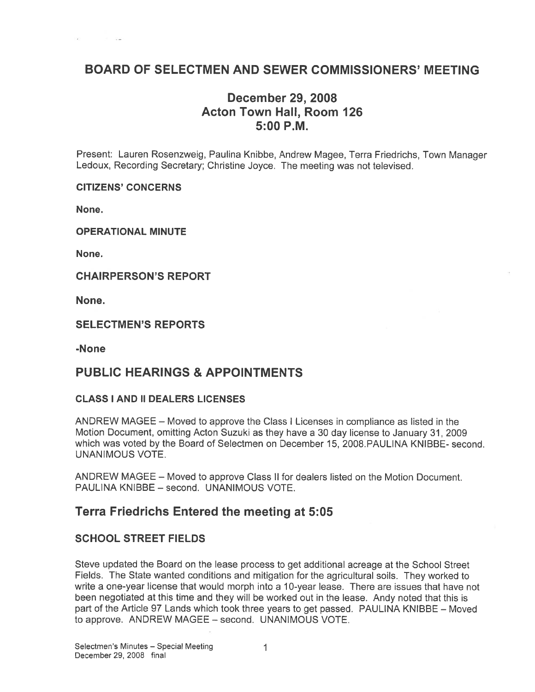# BOARD OF SELECTMEN AND SEWER COMMISSIONERS' MEETING

# December 29, 2008 Acton Town Hall, Room 126 5:00 P.M.

Present: Lauren Rosenzweig, Paulina Knibbe, Andrew Magee, Terra Friedrichs, Town Manager Ledoux, Recording Secretary; Christine Joyce. The meeting was not televised.

CITIZENS' CONCERNS

None.

OPERATIONAL MINUTE

None.

CHAIRPERSON'S REPORT

None.

SELECTMEN'S REPORTS

-None

## PUBLIC HEARINGS & APPOINTMENTS

### CLASS I AND II DEALERS LICENSES

ANDREW MAGEE — Moved to approve the Class <sup>I</sup> Licenses in compliance as listed in the Motion Document, omitting Acton Suzuki as they have <sup>a</sup> 30 day license to January 31, 2009 which was voted by the Board of Selectmen on December 15, 2008.PAULINA KNIBBE- second. UNANIMOUS VOTE.

ANDREW MAGEE — Moved to approve Class II for dealers listed on the Motion Document. PAULINA KNIBBE — second. UNANIMOUS VOTE.

## Terra Friedrichs Entered the meeting at 5:05

## SCHOOL STREET FIELDS

Steve updated the Board on the lease process to ge<sup>t</sup> additional acreage at the School Street Fields. The State wanted conditions and mitigation for the agricultural soils. They worked to write <sup>a</sup> one-year license that would morph into <sup>a</sup> 10-year lease. There are issues that have not been negotiated at this time and they will be worked out in the lease. Andy noted that this is par<sup>t</sup> of the Article 97 Lands which took three years to ge<sup>t</sup> passed. PAULINA KNIBBE — Moved to approve. ANDREW MAGEE — second. UNANIMOUS VOTE.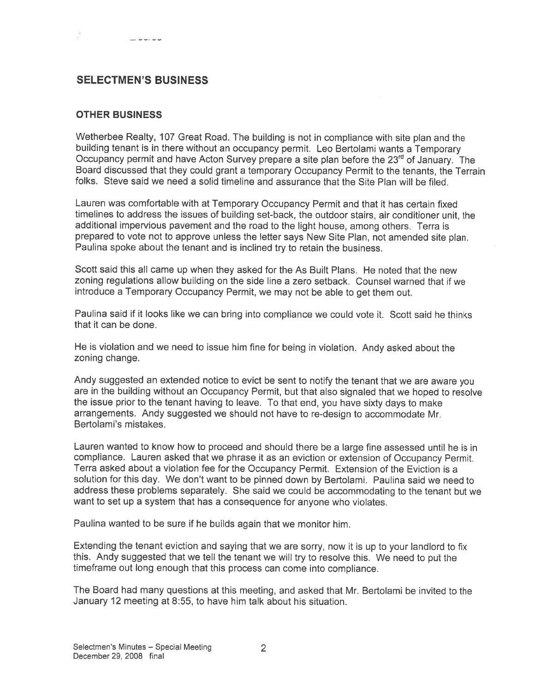## SELECTMEN'S BUSINESS

### OTHER BUSINESS

Wetherbee Realty, <sup>107</sup> Great Road. The building is not in compliance with site <sup>p</sup>lan and the building tenant is in there without an occupancy permit. Leo Bertolami wants <sup>a</sup> Temporary Occupancy permit and have Acton Survey prepare a site plan before the 23<sup>rd</sup> of January. The Board discussed that they could gran<sup>t</sup> <sup>a</sup> temporary Occupancy Permit to the tenants, the Terrain folks. Steve said we need <sup>a</sup> solid timeline and assurance that the Site Plan will be filed.

Lauren was comfortable with at Temporary Occupancy Permit and that it has certain fixed timelines to address the issues of building set-back, the outdoor stairs, air conditioner unit, the additional impervious pavemen<sup>t</sup> and the road to the light house, among others. Terra is prepare<sup>d</sup> to vote not to approve unless the letter says New Site Plan, not amended site <sup>p</sup>lan. Paulina spoke about the tenant and is inclined try to retain the business.

Scott said this all came up when they asked for the As Built Plans. He noted that the new zoning regulations allow building on the side line <sup>a</sup> zero setback. Counsel warned that if we introduce <sup>a</sup> Temporary Occupancy Permit, we may not be able to ge<sup>t</sup> them out.

Paulina said if it looks like we can bring into compliance we could vote it. Scott said he thinks that it can be done.

He is violation and we need to issue him fine for being in violation. Andy asked about the zoning change.

Andy suggested an extended notice to evict be sent to notify the tenant that we are aware you are in the building without an Occupancy Permit, but that also signaled that we hoped to resolve the issue prior to the tenant having to leave. To that end, you have sixty days to make arrangements. Andy suggested we should not have to re-design to accommodate Mr. Bertolami's mistakes.

Lauren wanted to know how to procee<sup>d</sup> and should there be <sup>a</sup> large fine assessed until he is in compliance. Lauren asked that we <sup>p</sup>hrase it as an eviction or extension of Occupancy Permit. Terra asked about <sup>a</sup> violation fee for the Occupancy Permit. Extension of the Eviction is <sup>a</sup> solution for this day. We don't want to be <sup>p</sup>inned down by Bertolami. Paulina said we need to address these problems separately. She said we could be accommodating to the tenant but we want to set up <sup>a</sup> system that has <sup>a</sup> consequence for anyone who violates.

Paulina wanted to be sure if he builds again that we monitor him.

Extending the tenant eviction and saying that we are sorry, now it is up to your landlord to fix this. Andy suggested that we tell the tenant we will try to resolve this. We need to pu<sup>t</sup> the timeframe out long enoug<sup>h</sup> that this process can come into compliance.

The Board had many questions at this meeting, and asked that Mr. Bertolami be invited to the January 12 meeting at 8:55, to have him talk about his situation.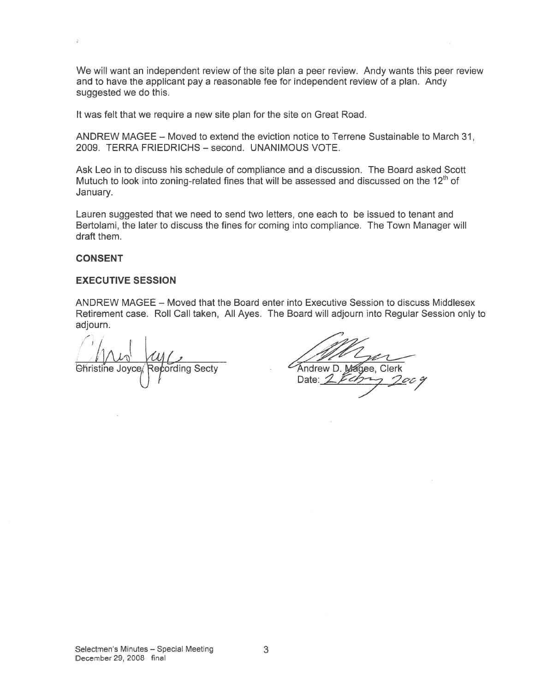We will want an independent review of the site plan <sup>a</sup> peer review. Andy wants this peer review and to have the applicant pay <sup>a</sup> reasonable fee for independent review of <sup>a</sup> plan. Andy suggested we do this.

It was felt that we require a new site plan for the site on Great Road.

ANDREW MAGEE — Moved to extend the eviction notice to Terrene Sustainable to March 31 2009. TERRA FRIEDRICHS — second. UNANIMOUS VOTE.

Ask Leo in to discuss his schedule of compliance and <sup>a</sup> discussion. The Board asked Scott Mutuch to look into zoning-related fines that will be assessed and discussed on the  $12<sup>th</sup>$  of January.

Lauren suggested that we need to send two letters, one each to be issued to tenant and Bertolami, the later to discuss the fines for coming into compliance. The Town Manager will draft them.

#### CONSENT

### EXECUTIVE SESSION

ANDREW MAGEE — Moved that the Board enter into Executive Session to discuss Middlesex Retirement case. Roll Call taken, All Ayes. The Board will adjourn into Regular Session only to adjourn.

I just My (1994)<br>Christine Joyce Repording Secty Andrew D. Magee, Clerk Date: 2 February 7009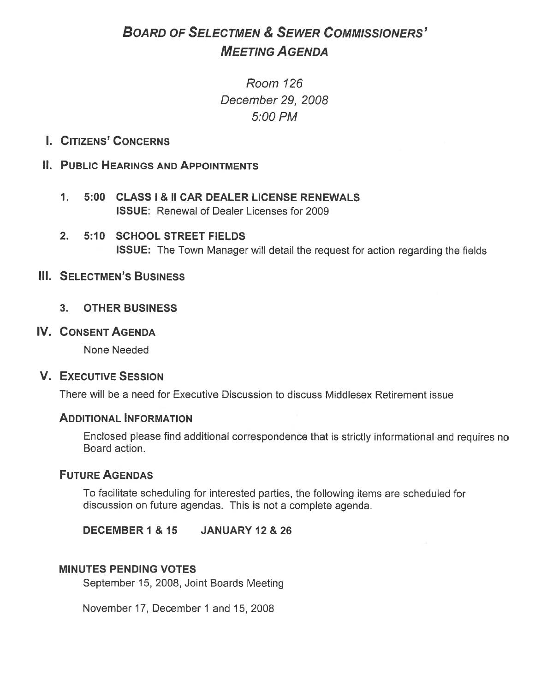# BOARD OF SELECTMEN & SEWER COMMISSIONERS' MEETING AGENDA

Room 126 December 29, 2008 5:00 PM

I. CITIZENS' CONCERNS

# II. PUBLIC HEARINGS AND APPOINTMENTS

- 1. 5:00 CLASS I & II CAR DEALER LICENSE RENEWALS ISSUE: Renewal of Dealer Licenses for 2009
- 2. 5:10 SCHOOL STREET FIELDS ISSUE: The Town Manager will detail the reques<sup>t</sup> for action regarding the fields

## III. SELECTMEN'S BUSINESS

3. OTHER BUSINESS

### IV. CONSENT AGENDA

None Needed

### V. EXECUTIVE SESSION

There will be <sup>a</sup> need for Executive Discussion to discuss Middlesex Retirement issue

## ADDITIONAL INFORMATION

Enclosed <sup>p</sup>lease find additional correspondence that is strictly informational and requires no Board action.

## FUTURE AGENDAS

To facilitate scheduling for interested parties, the following items are scheduled for discussion on future agendas. This is not <sup>a</sup> complete agenda.

DECEMBER 1 & 15 JANUARY 12 & 26

### MINUTES PENDING VOTES

September 15, 2008, Joint Boards Meeting

November 17, December 1 and 15, 2008